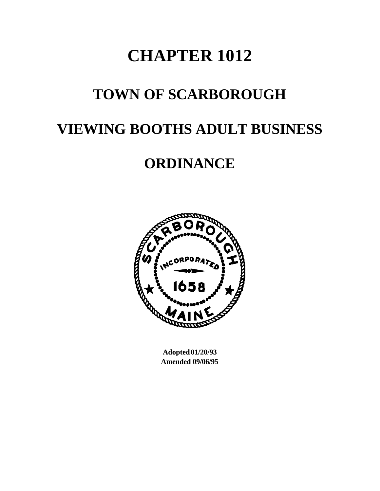# **CHAPTER 1012**

### **TOWN OF SCARBOROUGH**

## **VIEWING BOOTHS ADULT BUSINESS**

## **ORDINANCE**



**Adopted 01/20/93 Amended 09/06/95**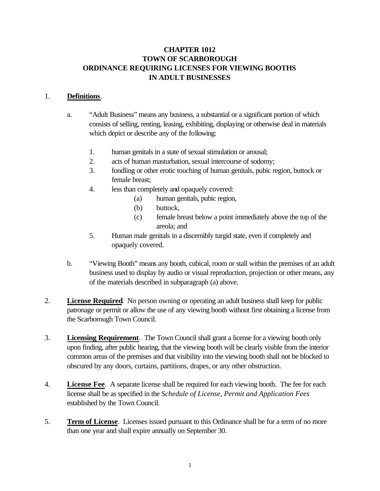#### **CHAPTER 1012 TOWN OF SCARBOROUGH ORDINANCE REQUIRING LICENSES FOR VIEWING BOOTHS IN ADULT BUSINESSES**

#### 1. **Definitions**.

- a. "Adult Business" means any business, a substantial or a significant portion of which consists of selling, renting, leasing, exhibiting, displaying or otherwise deal in materials which depict or describe any of the following:
	- 1. human genitals in a state of sexual stimulation or arousal;
	- 2. acts of human masturbation, sexual intercourse of sodomy;
	- 3. fondling or other erotic touching of human genitals, pubic region, buttock or female breast;
	- 4. less than completely and opaquely covered:
		- (a) human genitals, pubic region,
		- (b) buttock,
		- (c) female breast below a point immediately above the top of the areola; and
	- 5. Human male genitals in a discernibly turgid state, even if completely and opaquely covered.
- b. "Viewing Booth" means any booth, cubical, room or stall within the premises of an adult business used to display by audio or visual reproduction, projection or other means, any of the materials described in subparagraph (a) above.
- 2. **License Required**. No person owning or operating an adult business shall keep for public patronage or permit or allow the use of any viewing booth without first obtaining a license from the Scarborough Town Council.
- 3. **Licensing Requirement**. The Town Council shall grant a license for a viewing booth only upon finding, after public hearing, that the viewing booth will be clearly visible from the interior common areas of the premises and that visibility into the viewing booth shall not be blocked to obscured by any doors, curtains, partitions, drapes, or any other obstruction.
- 4. **License Fee**. A separate license shall be required for each viewing booth. The fee for each license shall be as specified in the *Schedule of License, Permit and Application Fees* established by the Town Council.
- 5. **Term of License**. Licenses issued pursuant to this Ordinance shall be for a term of no more than one year and shall expire annually on September 30.